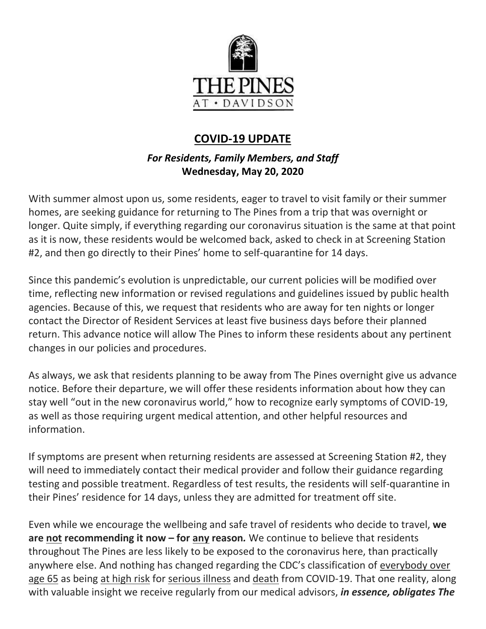

# **COVID-19 UPDATE**

# *For Residents, Family Members, and Staff* **Wednesday, May 20, 2020**

With summer almost upon us, some residents, eager to travel to visit family or their summer homes, are seeking guidance for returning to The Pines from a trip that was overnight or longer. Quite simply, if everything regarding our coronavirus situation is the same at that point as it is now, these residents would be welcomed back, asked to check in at Screening Station #2, and then go directly to their Pines' home to self-quarantine for 14 days.

Since this pandemic's evolution is unpredictable, our current policies will be modified over time, reflecting new information or revised regulations and guidelines issued by public health agencies. Because of this, we request that residents who are away for ten nights or longer contact the Director of Resident Services at least five business days before their planned return. This advance notice will allow The Pines to inform these residents about any pertinent changes in our policies and procedures.

As always, we ask that residents planning to be away from The Pines overnight give us advance notice. Before their departure, we will offer these residents information about how they can stay well "out in the new coronavirus world," how to recognize early symptoms of COVID-19, as well as those requiring urgent medical attention, and other helpful resources and information.

If symptoms are present when returning residents are assessed at Screening Station #2, they will need to immediately contact their medical provider and follow their guidance regarding testing and possible treatment. Regardless of test results, the residents will self-quarantine in their Pines' residence for 14 days, unless they are admitted for treatment off site.

Even while we encourage the wellbeing and safe travel of residents who decide to travel, **we are not recommending it now – for any reason***.* We continue to believe that residents throughout The Pines are less likely to be exposed to the coronavirus here, than practically anywhere else. And nothing has changed regarding the CDC's classification of everybody over age 65 as being at high risk for serious illness and death from COVID-19. That one reality, along with valuable insight we receive regularly from our medical advisors, *in essence, obligates The*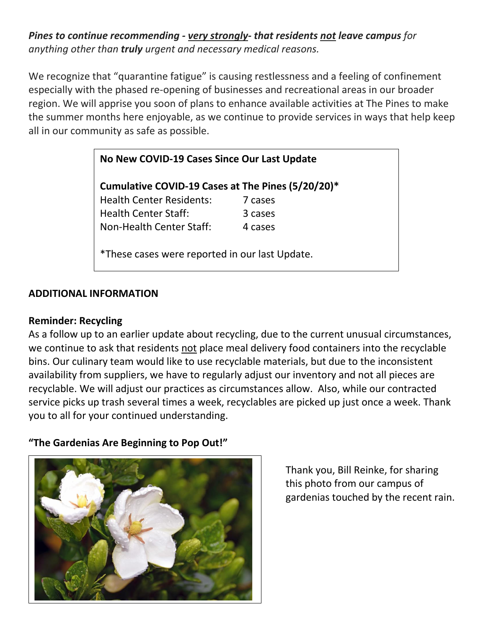*Pines to continue recommending - very strongly- that residents not leave campus for anything other than truly urgent and necessary medical reasons.*

We recognize that "quarantine fatigue" is causing restlessness and a feeling of confinement especially with the phased re-opening of businesses and recreational areas in our broader region. We will apprise you soon of plans to enhance available activities at The Pines to make the summer months here enjoyable, as we continue to provide services in ways that help keep all in our community as safe as possible.

### **No New COVID-19 Cases Since Our Last Update**

**Cumulative COVID-19 Cases at The Pines (5/20/20)\*** Health Center Residents: 7 cases Health Center Staff: 3 cases Non-Health Center Staff: 4 cases

\*These cases were reported in our last Update.

### **ADDITIONAL INFORMATION**

#### **Reminder: Recycling**

As a follow up to an earlier update about recycling, due to the current unusual circumstances, we continue to ask that residents not place meal delivery food containers into the recyclable bins. Our culinary team would like to use recyclable materials, but due to the inconsistent availability from suppliers, we have to regularly adjust our inventory and not all pieces are recyclable. We will adjust our practices as circumstances allow. Also, while our contracted service picks up trash several times a week, recyclables are picked up just once a week. Thank you to all for your continued understanding.

#### **"The Gardenias Are Beginning to Pop Out!"**



Thank you, Bill Reinke, for sharing this photo from our campus of gardenias touched by the recent rain.